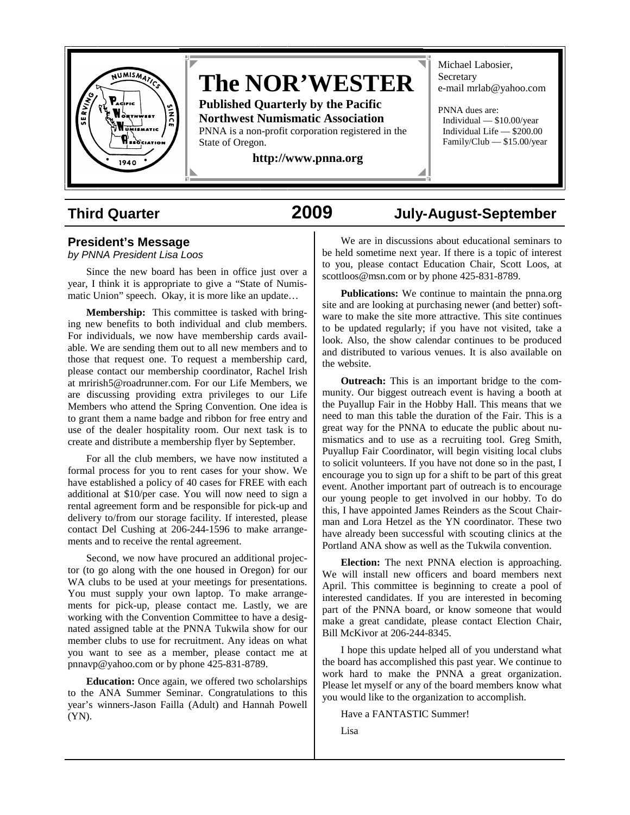

# **The NOR'WESTER**

**Published Quarterly by the Pacific Northwest Numismatic Association**  PNNA is a non-profit corporation registered in the State of Oregon.

**http://www.pnna.org** 

Michael Labosier, **Secretary** e-mail mrlab@yahoo.com

PNNA dues are: Individual — \$10.00/year Individual Life — \$200.00 Family/Club — \$15.00/year

## **Third Quarter 2009 July-August-September**

### **President's Message**

*by PNNA President Lisa Loos*

Since the new board has been in office just over a year, I think it is appropriate to give a "State of Numismatic Union" speech. Okay, it is more like an update…

**Membership:** This committee is tasked with bringing new benefits to both individual and club members. For individuals, we now have membership cards available. We are sending them out to all new members and to those that request one. To request a membership card, please contact our membership coordinator, Rachel Irish at mrirish5@roadrunner.com. For our Life Members, we are discussing providing extra privileges to our Life Members who attend the Spring Convention. One idea is to grant them a name badge and ribbon for free entry and use of the dealer hospitality room. Our next task is to create and distribute a membership flyer by September.

For all the club members, we have now instituted a formal process for you to rent cases for your show. We have established a policy of 40 cases for FREE with each additional at \$10/per case. You will now need to sign a rental agreement form and be responsible for pick-up and delivery to/from our storage facility. If interested, please contact Del Cushing at 206-244-1596 to make arrangements and to receive the rental agreement.

Second, we now have procured an additional projector (to go along with the one housed in Oregon) for our WA clubs to be used at your meetings for presentations. You must supply your own laptop. To make arrangements for pick-up, please contact me. Lastly, we are working with the Convention Committee to have a designated assigned table at the PNNA Tukwila show for our member clubs to use for recruitment. Any ideas on what you want to see as a member, please contact me at pnnavp@yahoo.com or by phone 425-831-8789.

**Education:** Once again, we offered two scholarships to the ANA Summer Seminar. Congratulations to this year's winners-Jason Failla (Adult) and Hannah Powell (YN).

We are in discussions about educational seminars to be held sometime next year. If there is a topic of interest to you, please contact Education Chair, Scott Loos, at scottloos@msn.com or by phone 425-831-8789.

**Publications:** We continue to maintain the pnna.org site and are looking at purchasing newer (and better) software to make the site more attractive. This site continues to be updated regularly; if you have not visited, take a look. Also, the show calendar continues to be produced and distributed to various venues. It is also available on the website.

**Outreach:** This is an important bridge to the community. Our biggest outreach event is having a booth at the Puyallup Fair in the Hobby Hall. This means that we need to man this table the duration of the Fair. This is a great way for the PNNA to educate the public about numismatics and to use as a recruiting tool. Greg Smith, Puyallup Fair Coordinator, will begin visiting local clubs to solicit volunteers. If you have not done so in the past, I encourage you to sign up for a shift to be part of this great event. Another important part of outreach is to encourage our young people to get involved in our hobby. To do this, I have appointed James Reinders as the Scout Chairman and Lora Hetzel as the YN coordinator. These two have already been successful with scouting clinics at the Portland ANA show as well as the Tukwila convention.

**Election:** The next PNNA election is approaching. We will install new officers and board members next April. This committee is beginning to create a pool of interested candidates. If you are interested in becoming part of the PNNA board, or know someone that would make a great candidate, please contact Election Chair, Bill McKivor at 206-244-8345.

I hope this update helped all of you understand what the board has accomplished this past year. We continue to work hard to make the PNNA a great organization. Please let myself or any of the board members know what you would like to the organization to accomplish.

Have a FANTASTIC Summer!

Lisa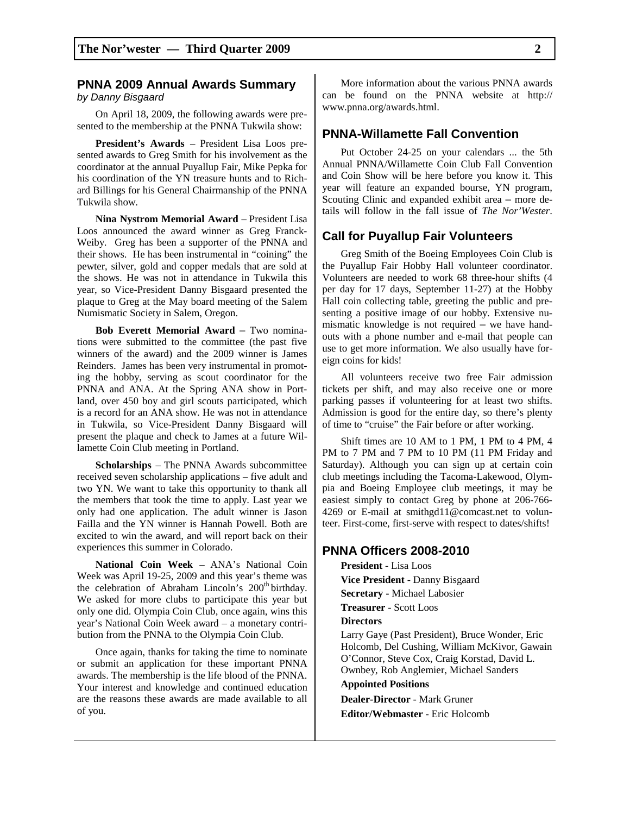#### **PNNA 2009 Annual Awards Summary**  *by Danny Bisgaard*

On April 18, 2009, the following awards were presented to the membership at the PNNA Tukwila show:

**President's Awards** – President Lisa Loos presented awards to Greg Smith for his involvement as the coordinator at the annual Puyallup Fair, Mike Pepka for his coordination of the YN treasure hunts and to Richard Billings for his General Chairmanship of the PNNA Tukwila show.

**Nina Nystrom Memorial Award** – President Lisa Loos announced the award winner as Greg Franck-Weiby. Greg has been a supporter of the PNNA and their shows. He has been instrumental in "coining" the pewter, silver, gold and copper medals that are sold at the shows. He was not in attendance in Tukwila this year, so Vice-President Danny Bisgaard presented the plaque to Greg at the May board meeting of the Salem Numismatic Society in Salem, Oregon.

**Bob Everett Memorial Award** – Two nominations were submitted to the committee (the past five winners of the award) and the 2009 winner is James Reinders. James has been very instrumental in promoting the hobby, serving as scout coordinator for the PNNA and ANA. At the Spring ANA show in Portland, over 450 boy and girl scouts participated, which is a record for an ANA show. He was not in attendance in Tukwila, so Vice-President Danny Bisgaard will present the plaque and check to James at a future Willamette Coin Club meeting in Portland.

**Scholarships** – The PNNA Awards subcommittee received seven scholarship applications – five adult and two YN. We want to take this opportunity to thank all the members that took the time to apply. Last year we only had one application. The adult winner is Jason Failla and the YN winner is Hannah Powell. Both are excited to win the award, and will report back on their experiences this summer in Colorado.

**National Coin Week** – ANA's National Coin Week was April 19-25, 2009 and this year's theme was the celebration of Abraham Lincoln's 200<sup>th</sup> birthday. We asked for more clubs to participate this year but only one did. Olympia Coin Club, once again, wins this year's National Coin Week award – a monetary contribution from the PNNA to the Olympia Coin Club.

Once again, thanks for taking the time to nominate or submit an application for these important PNNA awards. The membership is the life blood of the PNNA. Your interest and knowledge and continued education are the reasons these awards are made available to all of you.

More information about the various PNNA awards can be found on the PNNA website at http:// www.pnna.org/awards.html.

#### **PNNA-Willamette Fall Convention**

Put October 24-25 on your calendars ... the 5th Annual PNNA/Willamette Coin Club Fall Convention and Coin Show will be here before you know it. This year will feature an expanded bourse, YN program, Scouting Clinic and expanded exhibit area – more details will follow in the fall issue of *The Nor'Wester*.

#### **Call for Puyallup Fair Volunteers**

Greg Smith of the Boeing Employees Coin Club is the Puyallup Fair Hobby Hall volunteer coordinator. Volunteers are needed to work 68 three-hour shifts (4 per day for 17 days, September 11-27) at the Hobby Hall coin collecting table, greeting the public and presenting a positive image of our hobby. Extensive numismatic knowledge is not required – we have handouts with a phone number and e-mail that people can use to get more information. We also usually have foreign coins for kids!

All volunteers receive two free Fair admission tickets per shift, and may also receive one or more parking passes if volunteering for at least two shifts. Admission is good for the entire day, so there's plenty of time to "cruise" the Fair before or after working.

Shift times are 10 AM to 1 PM, 1 PM to 4 PM, 4 PM to 7 PM and 7 PM to 10 PM (11 PM Friday and Saturday). Although you can sign up at certain coin club meetings including the Tacoma-Lakewood, Olympia and Boeing Employee club meetings, it may be easiest simply to contact Greg by phone at 206-766- 4269 or E-mail at smithgd11@comcast.net to volunteer. First-come, first-serve with respect to dates/shifts!

#### **PNNA Officers 2008-2010**

**President** - Lisa Loos **Vice President** - Danny Bisgaard **Secretary -** Michael Labosier **Treasurer** - Scott Loos **Directors**  Larry Gaye (Past President), Bruce Wonder, Eric Holcomb, Del Cushing, William McKivor, Gawain O'Connor, Steve Cox, Craig Korstad, David L. Ownbey, Rob Anglemier, Michael Sanders **Appointed Positions Dealer-Director** - Mark Gruner **Editor/Webmaster** - Eric Holcomb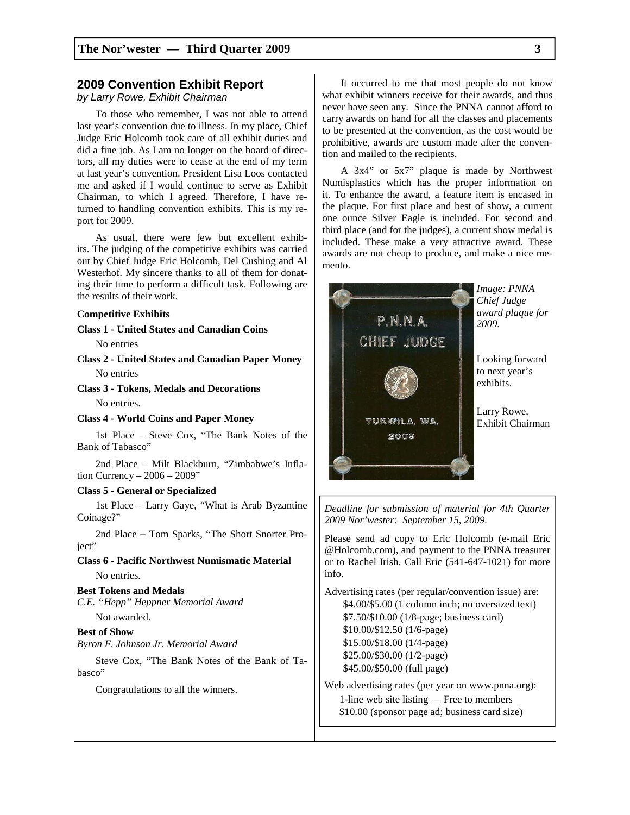#### **2009 Convention Exhibit Report**

#### *by Larry Rowe, Exhibit Chairman*

To those who remember, I was not able to attend last year's convention due to illness. In my place, Chief Judge Eric Holcomb took care of all exhibit duties and did a fine job. As I am no longer on the board of directors, all my duties were to cease at the end of my term at last year's convention. President Lisa Loos contacted me and asked if I would continue to serve as Exhibit Chairman, to which I agreed. Therefore, I have returned to handling convention exhibits. This is my report for 2009.

As usual, there were few but excellent exhibits. The judging of the competitive exhibits was carried out by Chief Judge Eric Holcomb, Del Cushing and Al Westerhof. My sincere thanks to all of them for donating their time to perform a difficult task. Following are the results of their work.

#### **Competitive Exhibits**

**Class 1 - United States and Canadian Coins** 

No entries

**Class 2 - United States and Canadian Paper Money**  No entries

**Class 3 - Tokens, Medals and Decorations** 

No entries.

**Class 4 - World Coins and Paper Money** 

1st Place – Steve Cox, "The Bank Notes of the Bank of Tabasco"

2nd Place – Milt Blackburn, "Zimbabwe's Inflation Currency – 2006 – 2009"

#### **Class 5 - General or Specialized**

1st Place – Larry Gaye, "What is Arab Byzantine Coinage?"

2nd Place – Tom Sparks, "The Short Snorter Project"

**Class 6 - Pacific Northwest Numismatic Material**  No entries.

#### **Best Tokens and Medals**

*C.E. "Hepp" Heppner Memorial Award*  Not awarded.

#### **Best of Show**

*Byron F. Johnson Jr. Memorial Award* 

Steve Cox, "The Bank Notes of the Bank of Tabasco"

Congratulations to all the winners.

It occurred to me that most people do not know what exhibit winners receive for their awards, and thus never have seen any. Since the PNNA cannot afford to carry awards on hand for all the classes and placements to be presented at the convention, as the cost would be prohibitive, awards are custom made after the convention and mailed to the recipients.

A 3x4" or 5x7" plaque is made by Northwest Numisplastics which has the proper information on it. To enhance the award, a feature item is encased in the plaque. For first place and best of show, a current one ounce Silver Eagle is included. For second and third place (and for the judges), a current show medal is included. These make a very attractive award. These awards are not cheap to produce, and make a nice memento.



*2009 Nor'wester: September 15, 2009.* 

Please send ad copy to Eric Holcomb (e-mail Eric @Holcomb.com), and payment to the PNNA treasurer or to Rachel Irish. Call Eric (541-647-1021) for more info.

Advertising rates (per regular/convention issue) are: \$4.00/\$5.00 (1 column inch; no oversized text) \$7.50/\$10.00 (1/8-page; business card) \$10.00/\$12.50 (1/6-page) \$15.00/\$18.00 (1/4-page) \$25.00/\$30.00 (1/2-page) \$45.00/\$50.00 (full page)

Web advertising rates (per year on www.pnna.org): 1-line web site listing — Free to members

\$10.00 (sponsor page ad; business card size)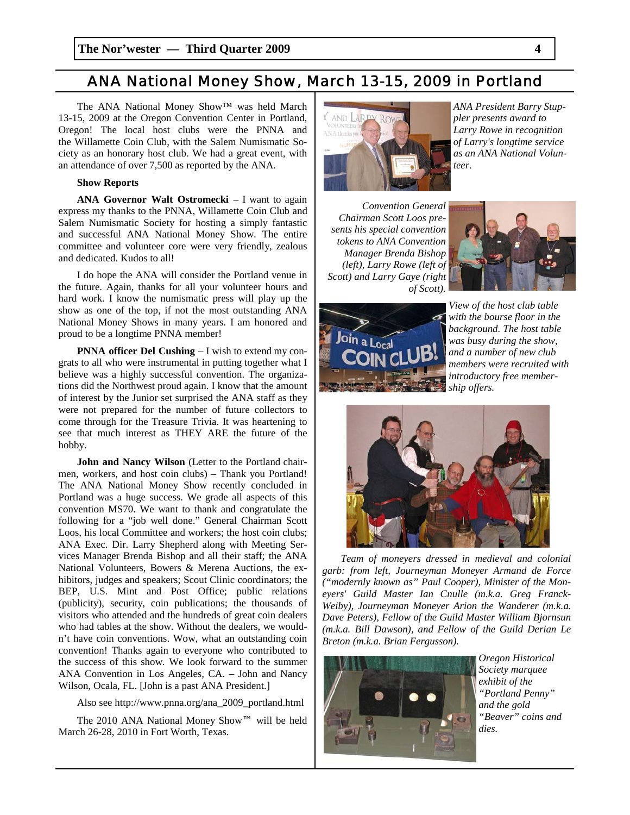### *ANA National Money Show, March 13-15, 2009 in Portland*

The ANA National Money Show™ was held March 13-15, 2009 at the Oregon Convention Center in Portland, Oregon! The local host clubs were the PNNA and the Willamette Coin Club, with the Salem Numismatic Society as an honorary host club. We had a great event, with an attendance of over 7,500 as reported by the ANA.

#### **Show Reports**

**ANA Governor Walt Ostromecki** – I want to again express my thanks to the PNNA, Willamette Coin Club and Salem Numismatic Society for hosting a simply fantastic and successful ANA National Money Show. The entire committee and volunteer core were very friendly, zealous and dedicated. Kudos to all!

I do hope the ANA will consider the Portland venue in the future. Again, thanks for all your volunteer hours and hard work. I know the numismatic press will play up the show as one of the top, if not the most outstanding ANA National Money Shows in many years. I am honored and proud to be a longtime PNNA member!

**PNNA officer Del Cushing – I** wish to extend my congrats to all who were instrumental in putting together what I believe was a highly successful convention. The organizations did the Northwest proud again. I know that the amount of interest by the Junior set surprised the ANA staff as they were not prepared for the number of future collectors to come through for the Treasure Trivia. It was heartening to see that much interest as THEY ARE the future of the hobby.

**John and Nancy Wilson** (Letter to the Portland chairmen, workers, and host coin clubs) – Thank you Portland! The ANA National Money Show recently concluded in Portland was a huge success. We grade all aspects of this convention MS70. We want to thank and congratulate the following for a "job well done." General Chairman Scott Loos, his local Committee and workers; the host coin clubs; ANA Exec. Dir. Larry Shepherd along with Meeting Services Manager Brenda Bishop and all their staff; the ANA National Volunteers, Bowers & Merena Auctions, the exhibitors, judges and speakers; Scout Clinic coordinators; the BEP, U.S. Mint and Post Office; public relations (publicity), security, coin publications; the thousands of visitors who attended and the hundreds of great coin dealers who had tables at the show. Without the dealers, we wouldn't have coin conventions. Wow, what an outstanding coin convention! Thanks again to everyone who contributed to the success of this show. We look forward to the summer ANA Convention in Los Angeles, CA. – John and Nancy Wilson, Ocala, FL. [John is a past ANA President.]

Also see http://www.pnna.org/ana\_2009\_portland.html

The 2010 ANA National Money Show™ will be held March 26-28, 2010 in Fort Worth, Texas.



*ANA President Barry Stuppler presents award to Larry Rowe in recognition of Larry's longtime service as an ANA National Volunteer.* 

*Convention General Chairman Scott Loos presents his special convention tokens to ANA Convention Manager Brenda Bishop (left), Larry Rowe (left of Scott) and Larry Gaye (right of Scott).* 





*View of the host club table with the bourse floor in the background. The host table was busy during the show, and a number of new club members were recruited with introductory free membership offers.* 



*Team of moneyers dressed in medieval and colonial garb: from left, Journeyman Moneyer Armand de Force ("modernly known as" Paul Cooper), Minister of the Moneyers' Guild Master Ian Cnulle (m.k.a. Greg Franck-Weiby), Journeyman Moneyer Arion the Wanderer (m.k.a. Dave Peters), Fellow of the Guild Master William Bjornsun (m.k.a. Bill Dawson), and Fellow of the Guild Derian Le Breton (m.k.a. Brian Fergusson).* 



*Oregon Historical Society marquee exhibit of the "Portland Penny" and the gold "Beaver" coins and dies.*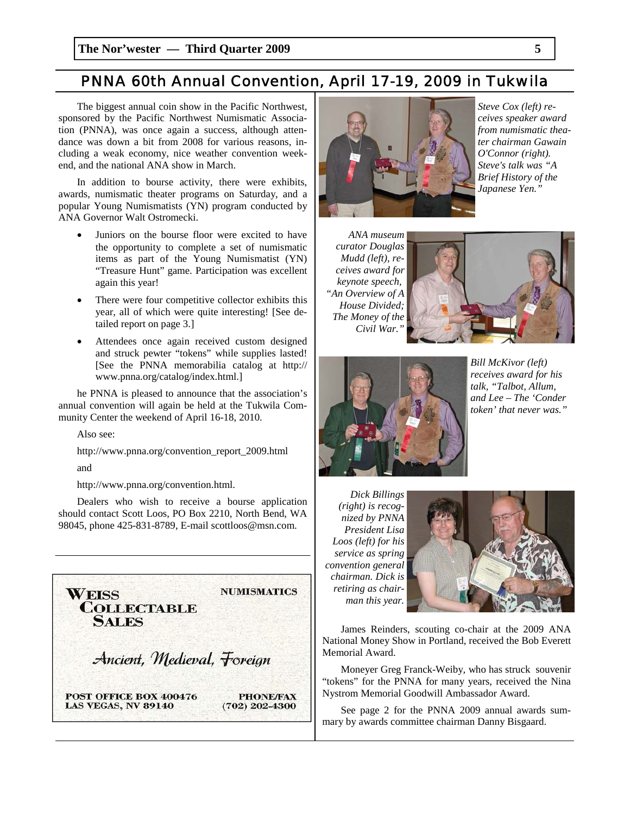### *PNNA 60th Annual Convention, April 17-19, 2009 in Tukwila*

The biggest annual coin show in the Pacific Northwest, sponsored by the Pacific Northwest Numismatic Association (PNNA), was once again a success, although attendance was down a bit from 2008 for various reasons, including a weak economy, nice weather convention weekend, and the national ANA show in March.

In addition to bourse activity, there were exhibits, awards, numismatic theater programs on Saturday, and a popular Young Numismatists (YN) program conducted by ANA Governor Walt Ostromecki.

- Juniors on the bourse floor were excited to have the opportunity to complete a set of numismatic items as part of the Young Numismatist (YN) "Treasure Hunt" game. Participation was excellent again this year!
- There were four competitive collector exhibits this year, all of which were quite interesting! [See detailed report on page 3.]
- Attendees once again received custom designed and struck pewter "tokens" while supplies lasted! [See the PNNA memorabilia catalog at http:// www.pnna.org/catalog/index.html.]

he PNNA is pleased to announce that the association's annual convention will again be held at the Tukwila Community Center the weekend of April 16-18, 2010.

Also see:

http://www.pnna.org/convention\_report\_2009.html

and

http://www.pnna.org/convention.html.

Dealers who wish to receive a bourse application should contact Scott Loos, PO Box 2210, North Bend, WA 98045, phone 425-831-8789, E-mail scottloos@msn.com.





*Steve Cox (left) receives speaker award from numismatic theater chairman Gawain O'Connor (right). Steve's talk was "A Brief History of the Japanese Yen."* 

*ANA museum curator Douglas Mudd (left), receives award for keynote speech, "An Overview of A House Divided; The Money of the Civil War."* 





*Bill McKivor (left) receives award for his talk, "Talbot, Allum, and Lee – The 'Conder token' that never was."* 

*Dick Billings (right) is recognized by PNNA President Lisa Loos (left) for his service as spring convention general chairman. Dick is retiring as chairman this year.* 



James Reinders, scouting co-chair at the 2009 ANA National Money Show in Portland, received the Bob Everett Memorial Award.

Moneyer Greg Franck-Weiby, who has struck souvenir "tokens" for the PNNA for many years, received the Nina Nystrom Memorial Goodwill Ambassador Award.

See page 2 for the PNNA 2009 annual awards summary by awards committee chairman Danny Bisgaard.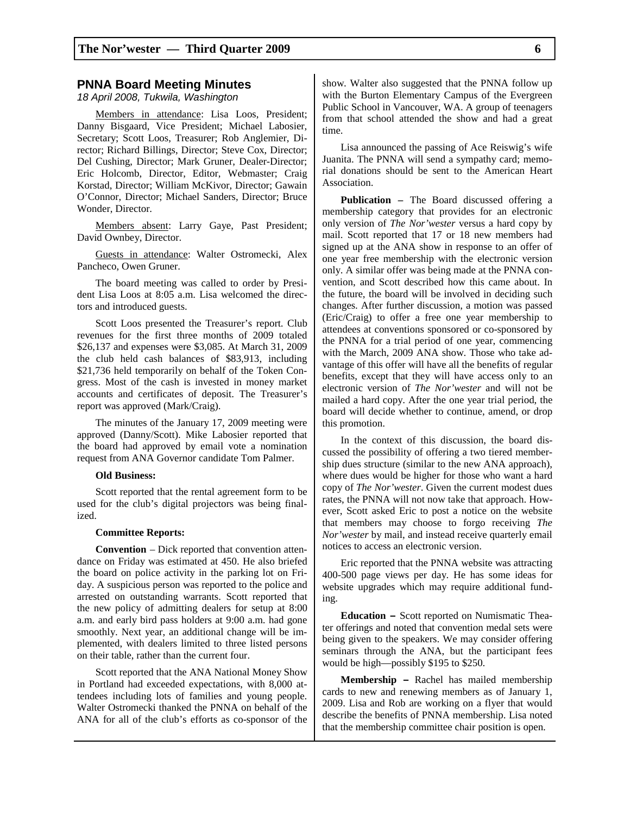#### **PNNA Board Meeting Minutes**

*18 April 2008, Tukwila, Washington*

Members in attendance: Lisa Loos, President; Danny Bisgaard, Vice President; Michael Labosier, Secretary; Scott Loos, Treasurer; Rob Anglemier, Director; Richard Billings, Director; Steve Cox, Director; Del Cushing, Director; Mark Gruner, Dealer-Director; Eric Holcomb, Director, Editor, Webmaster; Craig Korstad, Director; William McKivor, Director; Gawain O'Connor, Director; Michael Sanders, Director; Bruce Wonder, Director.

Members absent: Larry Gaye, Past President; David Ownbey, Director.

Guests in attendance: Walter Ostromecki, Alex Pancheco, Owen Gruner.

The board meeting was called to order by President Lisa Loos at 8:05 a.m. Lisa welcomed the directors and introduced guests.

Scott Loos presented the Treasurer's report. Club revenues for the first three months of 2009 totaled \$26,137 and expenses were \$3,085. At March 31, 2009 the club held cash balances of \$83,913, including \$21,736 held temporarily on behalf of the Token Congress. Most of the cash is invested in money market accounts and certificates of deposit. The Treasurer's report was approved (Mark/Craig).

The minutes of the January 17, 2009 meeting were approved (Danny/Scott). Mike Labosier reported that the board had approved by email vote a nomination request from ANA Governor candidate Tom Palmer.

#### **Old Business:**

Scott reported that the rental agreement form to be used for the club's digital projectors was being finalized.

#### **Committee Reports:**

**Convention** – Dick reported that convention attendance on Friday was estimated at 450. He also briefed the board on police activity in the parking lot on Friday. A suspicious person was reported to the police and arrested on outstanding warrants. Scott reported that the new policy of admitting dealers for setup at 8:00 a.m. and early bird pass holders at 9:00 a.m. had gone smoothly. Next year, an additional change will be implemented, with dealers limited to three listed persons on their table, rather than the current four.

Scott reported that the ANA National Money Show in Portland had exceeded expectations, with 8,000 attendees including lots of families and young people. Walter Ostromecki thanked the PNNA on behalf of the ANA for all of the club's efforts as co-sponsor of the

show. Walter also suggested that the PNNA follow up with the Burton Elementary Campus of the Evergreen Public School in Vancouver, WA. A group of teenagers from that school attended the show and had a great time.

Lisa announced the passing of Ace Reiswig's wife Juanita. The PNNA will send a sympathy card; memorial donations should be sent to the American Heart Association.

**Publication –** The Board discussed offering a membership category that provides for an electronic only version of *The Nor'wester* versus a hard copy by mail. Scott reported that 17 or 18 new members had signed up at the ANA show in response to an offer of one year free membership with the electronic version only. A similar offer was being made at the PNNA convention, and Scott described how this came about. In the future, the board will be involved in deciding such changes. After further discussion, a motion was passed (Eric/Craig) to offer a free one year membership to attendees at conventions sponsored or co-sponsored by the PNNA for a trial period of one year, commencing with the March, 2009 ANA show. Those who take advantage of this offer will have all the benefits of regular benefits, except that they will have access only to an electronic version of *The Nor'wester* and will not be mailed a hard copy. After the one year trial period, the board will decide whether to continue, amend, or drop this promotion.

In the context of this discussion, the board discussed the possibility of offering a two tiered membership dues structure (similar to the new ANA approach), where dues would be higher for those who want a hard copy of *The Nor'wester*. Given the current modest dues rates, the PNNA will not now take that approach. However, Scott asked Eric to post a notice on the website that members may choose to forgo receiving *The Nor'wester* by mail, and instead receive quarterly email notices to access an electronic version.

Eric reported that the PNNA website was attracting 400-500 page views per day. He has some ideas for website upgrades which may require additional funding.

**Education –** Scott reported on Numismatic Theater offerings and noted that convention medal sets were being given to the speakers. We may consider offering seminars through the ANA, but the participant fees would be high—possibly \$195 to \$250.

**Membership –** Rachel has mailed membership cards to new and renewing members as of January 1, 2009. Lisa and Rob are working on a flyer that would describe the benefits of PNNA membership. Lisa noted that the membership committee chair position is open.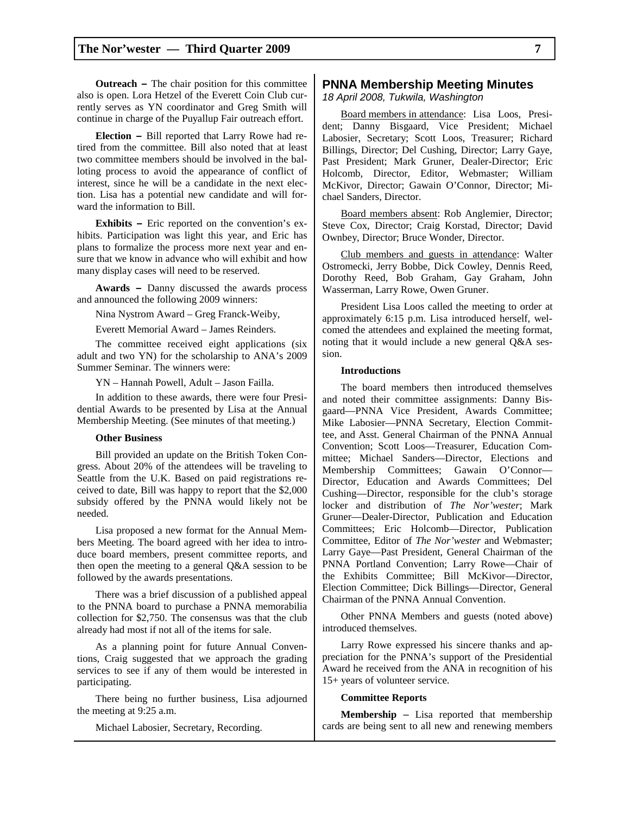**Outreach –** The chair position for this committee also is open. Lora Hetzel of the Everett Coin Club currently serves as YN coordinator and Greg Smith will continue in charge of the Puyallup Fair outreach effort.

**Election –** Bill reported that Larry Rowe had retired from the committee. Bill also noted that at least two committee members should be involved in the balloting process to avoid the appearance of conflict of interest, since he will be a candidate in the next election. Lisa has a potential new candidate and will forward the information to Bill.

**Exhibits –** Eric reported on the convention's exhibits. Participation was light this year, and Eric has plans to formalize the process more next year and ensure that we know in advance who will exhibit and how many display cases will need to be reserved.

**Awards –** Danny discussed the awards process and announced the following 2009 winners:

Nina Nystrom Award – Greg Franck-Weiby,

Everett Memorial Award – James Reinders.

The committee received eight applications (six adult and two YN) for the scholarship to ANA's 2009 Summer Seminar. The winners were:

YN – Hannah Powell, Adult – Jason Failla.

In addition to these awards, there were four Presidential Awards to be presented by Lisa at the Annual Membership Meeting. (See minutes of that meeting.)

#### **Other Business**

Bill provided an update on the British Token Congress. About 20% of the attendees will be traveling to Seattle from the U.K. Based on paid registrations received to date, Bill was happy to report that the \$2,000 subsidy offered by the PNNA would likely not be needed.

Lisa proposed a new format for the Annual Members Meeting. The board agreed with her idea to introduce board members, present committee reports, and then open the meeting to a general Q&A session to be followed by the awards presentations.

There was a brief discussion of a published appeal to the PNNA board to purchase a PNNA memorabilia collection for \$2,750. The consensus was that the club already had most if not all of the items for sale.

As a planning point for future Annual Conventions, Craig suggested that we approach the grading services to see if any of them would be interested in participating.

There being no further business, Lisa adjourned the meeting at 9:25 a.m.

Michael Labosier, Secretary, Recording.

#### **PNNA Membership Meeting Minutes**

*18 April 2008, Tukwila, Washington* 

Board members in attendance: Lisa Loos, President; Danny Bisgaard, Vice President; Michael Labosier, Secretary; Scott Loos, Treasurer; Richard Billings, Director; Del Cushing, Director; Larry Gaye, Past President; Mark Gruner, Dealer-Director; Eric Holcomb, Director, Editor, Webmaster; William McKivor, Director; Gawain O'Connor, Director; Michael Sanders, Director.

Board members absent: Rob Anglemier, Director; Steve Cox, Director; Craig Korstad, Director; David Ownbey, Director; Bruce Wonder, Director.

Club members and guests in attendance: Walter Ostromecki, Jerry Bobbe, Dick Cowley, Dennis Reed, Dorothy Reed, Bob Graham, Gay Graham, John Wasserman, Larry Rowe, Owen Gruner.

President Lisa Loos called the meeting to order at approximately 6:15 p.m. Lisa introduced herself, welcomed the attendees and explained the meeting format, noting that it would include a new general Q&A session.

#### **Introductions**

The board members then introduced themselves and noted their committee assignments: Danny Bisgaard—PNNA Vice President, Awards Committee; Mike Labosier—PNNA Secretary, Election Committee, and Asst. General Chairman of the PNNA Annual Convention; Scott Loos—Treasurer, Education Committee; Michael Sanders—Director, Elections and Membership Committees; Gawain O'Connor— Director, Education and Awards Committees; Del Cushing—Director, responsible for the club's storage locker and distribution of *The Nor'wester*; Mark Gruner—Dealer-Director, Publication and Education Committees; Eric Holcomb—Director, Publication Committee, Editor of *The Nor'wester* and Webmaster; Larry Gaye—Past President, General Chairman of the PNNA Portland Convention; Larry Rowe—Chair of the Exhibits Committee; Bill McKivor—Director, Election Committee; Dick Billings—Director, General Chairman of the PNNA Annual Convention.

Other PNNA Members and guests (noted above) introduced themselves.

Larry Rowe expressed his sincere thanks and appreciation for the PNNA's support of the Presidential Award he received from the ANA in recognition of his 15+ years of volunteer service.

#### **Committee Reports**

**Membership** – Lisa reported that membership cards are being sent to all new and renewing members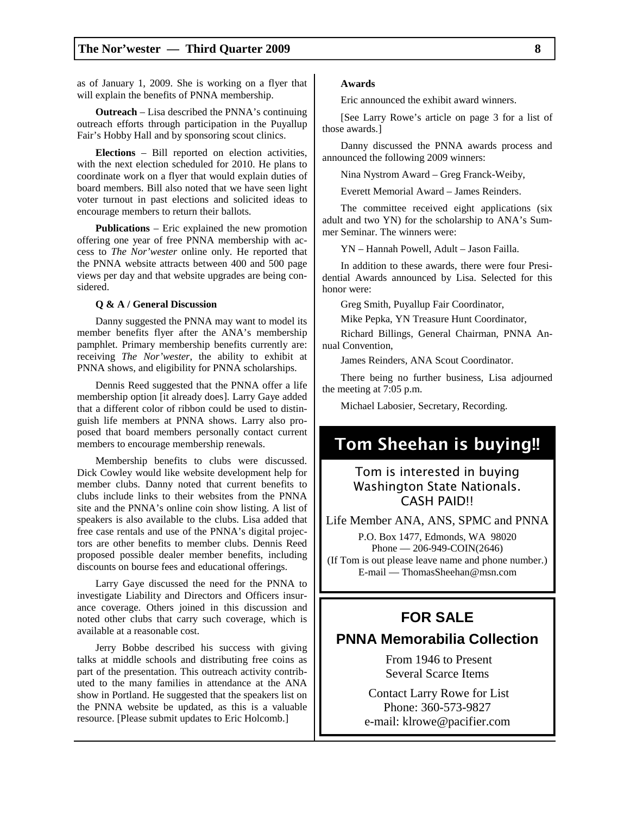as of January 1, 2009. She is working on a flyer that will explain the benefits of PNNA membership.

**Outreach** – Lisa described the PNNA's continuing outreach efforts through participation in the Puyallup Fair's Hobby Hall and by sponsoring scout clinics.

**Elections** – Bill reported on election activities, with the next election scheduled for 2010. He plans to coordinate work on a flyer that would explain duties of board members. Bill also noted that we have seen light voter turnout in past elections and solicited ideas to encourage members to return their ballots.

**Publications** – Eric explained the new promotion offering one year of free PNNA membership with access to *The Nor'wester* online only. He reported that the PNNA website attracts between 400 and 500 page views per day and that website upgrades are being considered.

#### **Q & A / General Discussion**

Danny suggested the PNNA may want to model its member benefits flyer after the ANA's membership pamphlet. Primary membership benefits currently are: receiving *The Nor'wester*, the ability to exhibit at PNNA shows, and eligibility for PNNA scholarships.

Dennis Reed suggested that the PNNA offer a life membership option [it already does]. Larry Gaye added that a different color of ribbon could be used to distinguish life members at PNNA shows. Larry also proposed that board members personally contact current members to encourage membership renewals.

Membership benefits to clubs were discussed. Dick Cowley would like website development help for member clubs. Danny noted that current benefits to clubs include links to their websites from the PNNA site and the PNNA's online coin show listing. A list of speakers is also available to the clubs. Lisa added that free case rentals and use of the PNNA's digital projectors are other benefits to member clubs. Dennis Reed proposed possible dealer member benefits, including discounts on bourse fees and educational offerings.

Larry Gaye discussed the need for the PNNA to investigate Liability and Directors and Officers insurance coverage. Others joined in this discussion and noted other clubs that carry such coverage, which is available at a reasonable cost.

Jerry Bobbe described his success with giving talks at middle schools and distributing free coins as part of the presentation. This outreach activity contributed to the many families in attendance at the ANA show in Portland. He suggested that the speakers list on the PNNA website be updated, as this is a valuable resource. [Please submit updates to Eric Holcomb.]

#### **Awards**

Eric announced the exhibit award winners.

[See Larry Rowe's article on page 3 for a list of those awards.]

Danny discussed the PNNA awards process and announced the following 2009 winners:

Nina Nystrom Award – Greg Franck-Weiby,

Everett Memorial Award – James Reinders.

The committee received eight applications (six adult and two YN) for the scholarship to ANA's Summer Seminar. The winners were:

YN – Hannah Powell, Adult – Jason Failla.

In addition to these awards, there were four Presidential Awards announced by Lisa. Selected for this honor were:

Greg Smith, Puyallup Fair Coordinator,

Mike Pepka, YN Treasure Hunt Coordinator,

Richard Billings, General Chairman, PNNA Annual Convention,

James Reinders, ANA Scout Coordinator.

There being no further business, Lisa adjourned the meeting at 7:05 p.m.

Michael Labosier, Secretary, Recording.

## Tom Sheehan is buying!!

### Tom is interested in buying Washington State Nationals. CASH PAID!!

Life Member ANA, ANS, SPMC and PNNA P.O. Box 1477, Edmonds, WA 98020 Phone — 206-949-COIN(2646) (If Tom is out please leave name and phone number.) E-mail — ThomasSheehan@msn.com

### **FOR SALE**

### **PNNA Memorabilia Collection**

 From 1946 to Present Several Scarce Items

 Contact Larry Rowe for List Phone: 360-573-9827 e-mail: klrowe@pacifier.com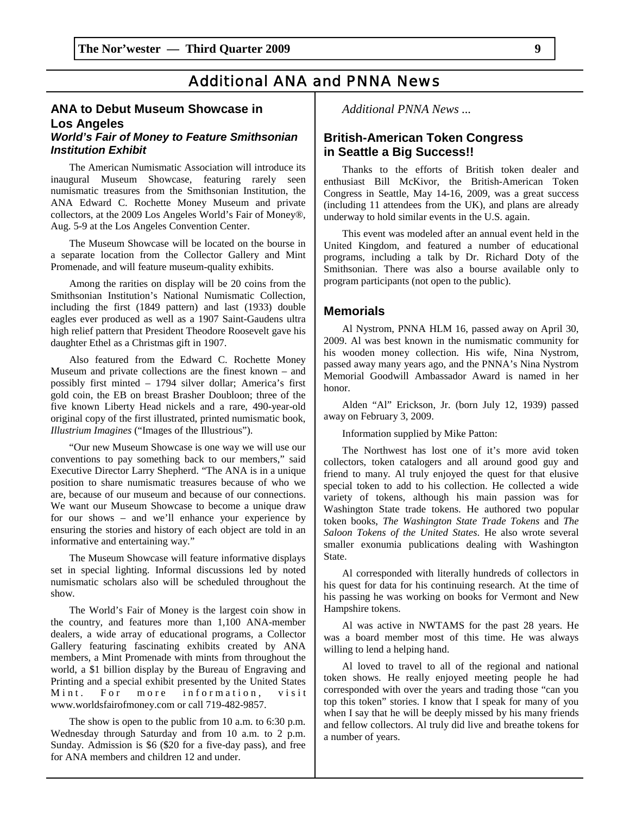### *Additional ANA and PNNA News*

### **ANA to Debut Museum Showcase in Los Angeles**

#### *World's Fair of Money to Feature Smithsonian Institution Exhibit*

The American Numismatic Association will introduce its inaugural Museum Showcase, featuring rarely seen numismatic treasures from the Smithsonian Institution, the ANA Edward C. Rochette Money Museum and private collectors, at the 2009 Los Angeles World's Fair of Money®, Aug. 5-9 at the Los Angeles Convention Center.

The Museum Showcase will be located on the bourse in a separate location from the Collector Gallery and Mint Promenade, and will feature museum-quality exhibits.

Among the rarities on display will be 20 coins from the Smithsonian Institution's National Numismatic Collection, including the first (1849 pattern) and last (1933) double eagles ever produced as well as a 1907 Saint-Gaudens ultra high relief pattern that President Theodore Roosevelt gave his daughter Ethel as a Christmas gift in 1907.

Also featured from the Edward C. Rochette Money Museum and private collections are the finest known – and possibly first minted – 1794 silver dollar; America's first gold coin, the EB on breast Brasher Doubloon; three of the five known Liberty Head nickels and a rare, 490-year-old original copy of the first illustrated, printed numismatic book, *Illustrium Imagines* ("Images of the Illustrious").

"Our new Museum Showcase is one way we will use our conventions to pay something back to our members," said Executive Director Larry Shepherd. "The ANA is in a unique position to share numismatic treasures because of who we are, because of our museum and because of our connections. We want our Museum Showcase to become a unique draw for our shows – and we'll enhance your experience by ensuring the stories and history of each object are told in an informative and entertaining way."

The Museum Showcase will feature informative displays set in special lighting. Informal discussions led by noted numismatic scholars also will be scheduled throughout the show.

The World's Fair of Money is the largest coin show in the country, and features more than 1,100 ANA-member dealers, a wide array of educational programs, a Collector Gallery featuring fascinating exhibits created by ANA members, a Mint Promenade with mints from throughout the world, a \$1 billion display by the Bureau of Engraving and Printing and a special exhibit presented by the United States Mint. For more information, visit www.worldsfairofmoney.com or call 719-482-9857.

The show is open to the public from 10 a.m. to 6:30 p.m. Wednesday through Saturday and from 10 a.m. to 2 p.m. Sunday. Admission is \$6 (\$20 for a five-day pass), and free for ANA members and children 12 and under.

*Additional PNNA News ...* 

### **British-American Token Congress in Seattle a Big Success!!**

Thanks to the efforts of British token dealer and enthusiast Bill McKivor, the British-American Token Congress in Seattle, May 14-16, 2009, was a great success (including 11 attendees from the UK), and plans are already underway to hold similar events in the U.S. again.

This event was modeled after an annual event held in the United Kingdom, and featured a number of educational programs, including a talk by Dr. Richard Doty of the Smithsonian. There was also a bourse available only to program participants (not open to the public).

#### **Memorials**

Al Nystrom, PNNA HLM 16, passed away on April 30, 2009. Al was best known in the numismatic community for his wooden money collection. His wife, Nina Nystrom, passed away many years ago, and the PNNA's Nina Nystrom Memorial Goodwill Ambassador Award is named in her honor.

Alden "Al" Erickson, Jr. (born July 12, 1939) passed away on February 3, 2009.

Information supplied by Mike Patton:

The Northwest has lost one of it's more avid token collectors, token catalogers and all around good guy and friend to many. Al truly enjoyed the quest for that elusive special token to add to his collection. He collected a wide variety of tokens, although his main passion was for Washington State trade tokens. He authored two popular token books, *The Washington State Trade Tokens* and *The Saloon Tokens of the United States*. He also wrote several smaller exonumia publications dealing with Washington State.

Al corresponded with literally hundreds of collectors in his quest for data for his continuing research. At the time of his passing he was working on books for Vermont and New Hampshire tokens.

Al was active in NWTAMS for the past 28 years. He was a board member most of this time. He was always willing to lend a helping hand.

Al loved to travel to all of the regional and national token shows. He really enjoyed meeting people he had corresponded with over the years and trading those "can you top this token" stories. I know that I speak for many of you when I say that he will be deeply missed by his many friends and fellow collectors. Al truly did live and breathe tokens for a number of years.